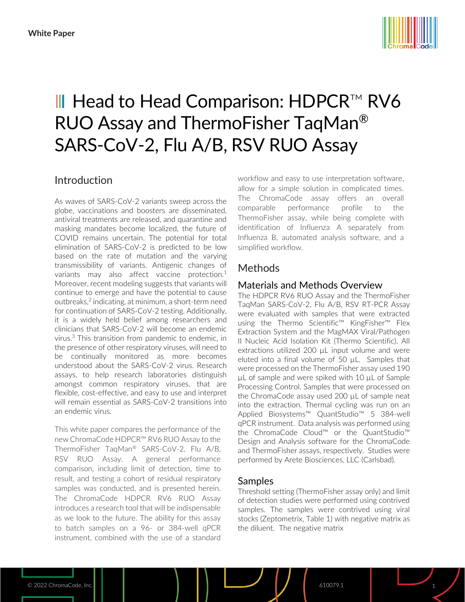

# III Head to Head Comparison: HDPCR™ RV6 RUO Assay and ThermoFisher TaqMan® SARS-CoV-2, Flu A/B, RSV RUO Assay

# Introduction

As waves of SARS-CoV-2 variants sweep across the globe, vaccinations and boosters are disseminated, antiviral treatments are released, and quarantine and masking mandates become localized, the future of COVID remains uncertain. The potential for total elimination of SARS-CoV-2 is predicted to be low based on the rate of mutation and the varying transmissibility of variants. Antigenic changes of variants may also affect vaccine protection.<sup>1</sup> Moreover, recent modeling suggests that variants will continue to emerge and have the potential to cause outbreaks,<sup>2</sup> indicating, at minimum, a short-term need for continuation of SARS-CoV-2 testing. Additionally, it is a widely held belief among researchers and clinicians that SARS-CoV-2 will become an endemic virus. <sup>3</sup> This transition from pandemic to endemic, in the presence of other respiratory viruses, will need to be continually monitored as more becomes understood about the SARS-CoV-2 virus. Research assays, to help research laboratories distinguish amongst common respiratory viruses, that are flexible, cost-effective, and easy to use and interpret will remain essential as SARS-CoV-2 transitions into an endemic virus.

This white paper compares the performance of the new ChromaCode HDPCR™ RV6 RUO Assay to the ThermoFisher TaqMan® SARS-CoV-2, Flu A/B, RSV RUO Assay. A general performance comparison, including limit of detection, time to result, and testing a cohort of residual respiratory samples was conducted, and is presented herein. The ChromaCode HDPCR RV6 RUO Assay introduces a research tool that will be indispensable as we look to the future. The ability for this assay to batch samples on a 96- or 384-well qPCR instrument, combined with the use of a standard

workflow and easy to use interpretation software, allow for a simple solution in complicated times. The ChromaCode assay offers an overall comparable performance profile to the ThermoFisher assay, while being complete with identification of Influenza A separately from Influenza B, automated analysis software, and a simplified workflow.

# Methods

## Materials and Methods Overview

The HDPCR RV6 RUO Assay and the ThermoFisher TaqMan SARS-CoV-2, Flu A/B, RSV RT-PCR Assay were evaluated with samples that were extracted using the Thermo Scientific™ KingFisher™ Flex Extraction System and the MagMAX Viral/Pathogen II Nucleic Acid Isolation Kit (Thermo Scientific). All extractions utilized 200 µL input volume and were eluted into a final volume of 50 µL. Samples that were processed on the ThermoFisher assay used 190 µL of sample and were spiked with 10 µL of Sample Processing Control. Samples that were processed on the ChromaCode assay used 200 µL of sample neat into the extraction. Thermal cycling was run on an Applied Biosystems™ QuantStudio™ 5 384-well qPCR instrument. Data analysis was performed using the ChromaCode Cloud™ or the QuantStudio™ Design and Analysis software for the ChromaCode and ThermoFisher assays, respectively. Studies were performed by Arete Biosciences, LLC (Carlsbad).

## Samples

Threshold setting (ThermoFisher assay only) and limit of detection studies were performed using contrived samples. The samples were contrived using viral stocks (Zeptometrix, Table 1) with negative matrix as the diluent. The negative matrix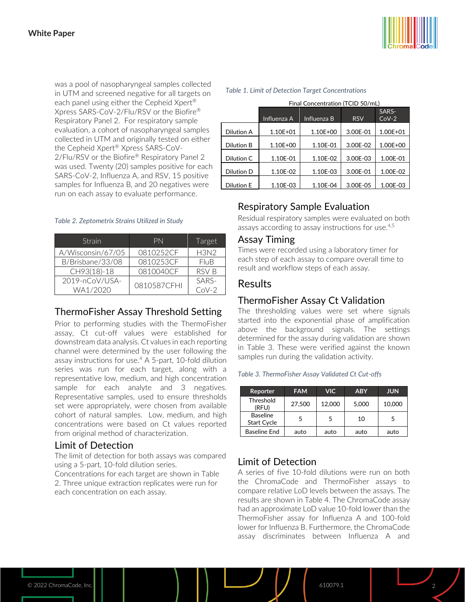was a pool of nasopharyngeal samples collected in UTM and screened negative for all targets on each panel using either the Cepheid Xpert® Xpress SARS-CoV-2/Flu/RSV or the Biofire® Respiratory Panel 2. For respiratory sample evaluation, a cohort of nasopharyngeal samples collected in UTM and originally tested on either the Cepheid Xpert® Xpress SARS-CoV-2/Flu/RSV or the Biofire® Respiratory Panel 2 was used. Twenty (20) samples positive for each SARS-CoV-2, Influenza A, and RSV, 15 positive samples for Influenza B, and 20 negatives were run on each assay to evaluate performance.

#### *Table 2. Zeptometrix Strains Utilized in Study*

| Strain            | PN          | Target      |
|-------------------|-------------|-------------|
| A/Wisconsin/67/05 | 0810252CF   | <b>H3N2</b> |
| B/Brisbane/33/08  | 0810253CF   | FluB        |
| CH93(18)-18       | 0810040CF   | RSV B       |
| 2019-nCoV/USA-    | 0810587CFHI | SARS-       |
| WA1/2020          |             | $C_0V-2$    |

#### ThermoFisher Assay Threshold Setting

Prior to performing studies with the ThermoFisher assay, Ct cut-off values were established for downstream data analysis. Ct values in each reporting channel were determined by the user following the assay instructions for use. <sup>4</sup> A 5-part, 10-fold dilution series was run for each target, along with a representative low, medium, and high concentration sample for each analyte and 3 negatives. Representative samples, used to ensure thresholds set were appropriately, were chosen from available cohort of natural samples. Low, medium, and high concentrations were based on Ct values reported from original method of characterization.

#### Limit of Detection

The limit of detection for both assays was compared using a 5-part, 10-fold dilution series.

Concentrations for each target are shown in Table 2. Three unique extraction replicates were run for each concentration on each assay.



#### *Table 1. Limit of Detection Target Concentrations*

|                   | Final Concentration (TCID 50/mL) |             |            |                  |  |  |  |
|-------------------|----------------------------------|-------------|------------|------------------|--|--|--|
|                   | Influenza A                      | Influenza B | <b>RSV</b> | SARS-<br>$CoV-2$ |  |  |  |
| Dilution A        | $1.10E + 01$                     | 1.10E+00    | 3.00E-01   | 1.00E+01         |  |  |  |
| <b>Dilution B</b> | 1.10E+00                         | 1.10E-01    | 3.00E-02   | 1.00E+00         |  |  |  |
| Dilution C        | 1.10E-01                         | 1.10E-02    | 3.00E-03   | 1.00E-01         |  |  |  |
| Dilution D        | 1.10E-02                         | 1.10E-03    | 3.00E-01   | 1.00E-02         |  |  |  |
| <b>Dilution E</b> | 1.10E-03                         | 1.10E-04    | 3.00E-05   | 1.00E-03         |  |  |  |

## Respiratory Sample Evaluation

Residual respiratory samples were evaluated on both assays according to assay instructions for use. 4,5

#### Assay Timing

Times were recorded using a laboratory timer for each step of each assay to compare overall time to result and workflow steps of each assay.

#### **Results**

#### ThermoFisher Assay Ct Validation

The thresholding values were set where signals started into the exponential phase of amplification above the background signals. The settings determined for the assay during validation are shown in Table 3. These were verified against the known samples run during the validation activity.

#### *Table 3. ThermoFisher Assay Validated Ct Cut-offs*

| Reporter                              | <b>FAM</b> | <b>VIC</b> | <b>ABY</b> | <b>JUN</b> |
|---------------------------------------|------------|------------|------------|------------|
| Threshold<br>(RFU)                    | 27,500     | 12,000     | 5,000      | 10,000     |
| <b>Baseline</b><br><b>Start Cycle</b> | 5          | 5          | 10         | 5          |
| Baseline End                          | auto       | auto       | auto       | auto       |

## Limit of Detection

A series of five 10-fold dilutions were run on both the ChromaCode and ThermoFisher assays to compare relative LoD levels between the assays. The results are shown in Table 4. The ChromaCode assay had an approximate LoD value 10-fold lower than the ThermoFisher assay for Influenza A and 100-fold lower for Influenza B. Furthermore, the ChromaCode assay discriminates between Influenza A and

© 2022 ChromaCode, Inc. **610079.1 2022** ChromaCode, Inc. **610079.1 2022** ChromaCode, Inc. **610079.1**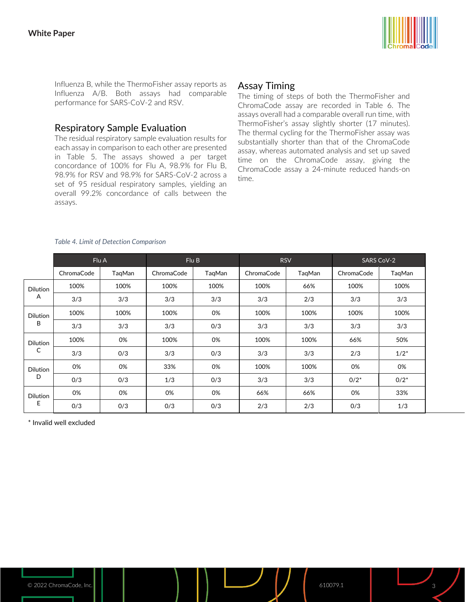

Influenza B, while the ThermoFisher assay reports as Influenza A/B. Both assays had comparable performance for SARS-CoV-2 and RSV.

## Respiratory Sample Evaluation

The residual respiratory sample evaluation results for each assay in comparison to each other are presented in Table 5. The assays showed a per target concordance of 100% for Flu A, 98.9% for Flu B, 98.9% for RSV and 98.9% for SARS-CoV-2 across a set of 95 residual respiratory samples, yielding an overall 99.2% concordance of calls between the assays.

# Assay Timing

The timing of steps of both the ThermoFisher and ChromaCode assay are recorded in Table 6. The assays overall had a comparable overall run time, with ThermoFisher's assay slightly shorter (17 minutes). The thermal cycling for the ThermoFisher assay was substantially shorter than that of the ChromaCode assay, whereas automated analysis and set up saved time on the ChromaCode assay, giving the ChromaCode assay a 24-minute reduced hands-on time.

|                      | Flu A      |        | Flu B      |        | <b>RSV</b> |        | <b>SARS CoV-2</b> |         |
|----------------------|------------|--------|------------|--------|------------|--------|-------------------|---------|
|                      | ChromaCode | TaqMan | ChromaCode | TaqMan | ChromaCode | TaqMan | ChromaCode        | TaqMan  |
| <b>Dilution</b>      | 100%       | 100%   | 100%       | 100%   | 100%       | 66%    | 100%              | 100%    |
| A                    | 3/3        | 3/3    | 3/3        | 3/3    | 3/3        | 2/3    | 3/3               | 3/3     |
| <b>Dilution</b>      | 100%       | 100%   | 100%       | 0%     | 100%       | 100%   | 100%              | 100%    |
| B                    | 3/3        | 3/3    | 3/3        | 0/3    | 3/3        | 3/3    | 3/3               | 3/3     |
| <b>Dilution</b>      | 100%       | 0%     | 100%       | 0%     | 100%       | 100%   | 66%               | 50%     |
| C                    | 3/3        | 0/3    | 3/3        | 0/3    | 3/3        | 3/3    | 2/3               | $1/2^*$ |
| <b>Dilution</b>      | 0%         | 0%     | 33%        | 0%     | 100%       | 100%   | 0%                | 0%      |
| D                    | 0/3        | 0/3    | 1/3        | 0/3    | 3/3        | 3/3    | $0/2^*$           | $0/2^*$ |
| <b>Dilution</b><br>E | 0%         | 0%     | 0%         | 0%     | 66%        | 66%    | 0%                | 33%     |
|                      | 0/3        | O/3    | O/3        | 0/3    | 2/3        | 2/3    | 0/3               | 1/3     |

#### *Table 4. Limit of Detection Comparison*

\* Invalid well excluded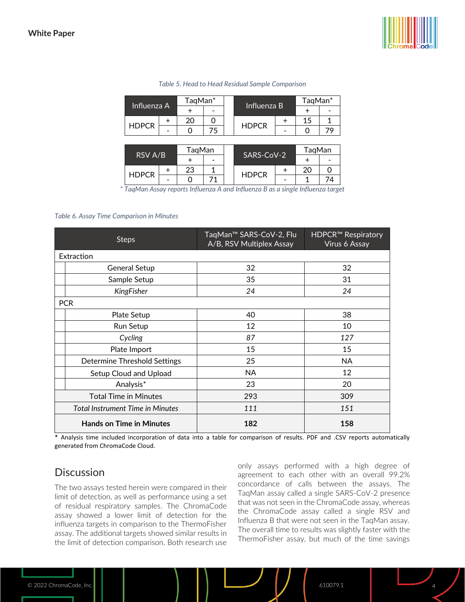

| Influenza A  |  | TaqMan* |    |  |              |  | TaqMan* |    |
|--------------|--|---------|----|--|--------------|--|---------|----|
|              |  |         |    |  | Influenza B  |  |         |    |
| <b>HDPCR</b> |  | 20      |    |  |              |  | 15      |    |
|              |  |         | 75 |  | <b>HDPCR</b> |  |         | 79 |
|              |  |         |    |  |              |  |         |    |
| RSV A/B      |  | TaqMan  |    |  | SARS-CoV-2   |  | TaqMan  |    |
|              |  |         |    |  |              |  |         |    |

#### *Table 5. Head to Head Residual Sample Comparison*

*\* TaqMan Assay reports Influenza A and Influenza B as a single Influenza target*

 $23 \mid 1$ 

+ - + -

 $+ 20 0$ 

**HDPCR** 

- | 0 | 71 | | <sup>11151</sup> C<sup>1</sup> | - | 1 | 74

#### *Table 6. Assay Time Comparison in Minutes*

**HDPCR** 

| <b>Steps</b>                            | TaqMan <sup>™</sup> SARS-CoV-2, Flu<br>A/B, RSV Multiplex Assay | <b>HDPCR™ Respiratory</b><br>Virus 6 Assay |  |
|-----------------------------------------|-----------------------------------------------------------------|--------------------------------------------|--|
| Extraction                              |                                                                 |                                            |  |
| <b>General Setup</b>                    | 32                                                              | 32                                         |  |
| Sample Setup                            | 35                                                              | 31                                         |  |
| KingFisher                              | 24                                                              | 24                                         |  |
| <b>PCR</b>                              |                                                                 |                                            |  |
| Plate Setup                             | 40                                                              | 38                                         |  |
| Run Setup                               | 12                                                              | 10                                         |  |
| Cycling                                 | 87                                                              | 127                                        |  |
| Plate Import                            | 15                                                              | 15                                         |  |
| Determine Threshold Settings            | 25                                                              | NA.                                        |  |
| Setup Cloud and Upload                  | NA.                                                             | 12                                         |  |
| Analysis*                               | 23                                                              | 20                                         |  |
| <b>Total Time in Minutes</b>            | 293                                                             | 309                                        |  |
| <b>Total Instrument Time in Minutes</b> | 111                                                             | 151                                        |  |
| <b>Hands on Time in Minutes</b>         | 182                                                             | 158                                        |  |

\* Analysis time included incorporation of data into a table for comparison of results. PDF and .CSV reports automatically generated from ChromaCode Cloud.

## **Discussion**

The two assays tested herein were compared in their limit of detection, as well as performance using a set of residual respiratory samples. The ChromaCode assay showed a lower limit of detection for the influenza targets in comparison to the ThermoFisher assay. The additional targets showed similar results in the limit of detection comparison. Both research use only assays performed with a high degree of agreement to each other with an overall 99.2% concordance of calls between the assays. The TaqMan assay called a single SARS-CoV-2 presence that was not seen in the ChromaCode assay, whereas the ChromaCode assay called a single RSV and Influenza B that were not seen in the TaqMan assay. The overall time to results was slightly faster with the ThermoFisher assay, but much of the time savings